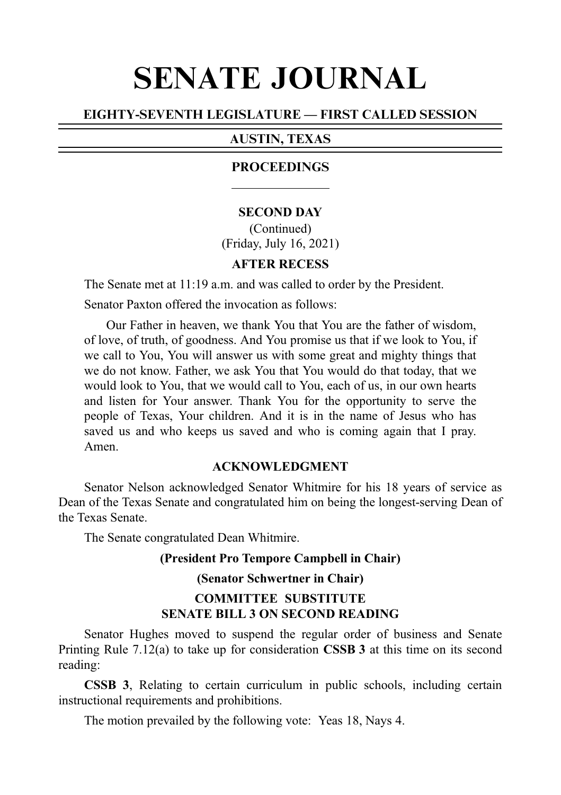# SENATE JOURNAL

# EIGHTY-SEVENTH LEGISLATURE — FIRST CALLED SESSION

# AUSTIN, TEXAS

# PROCEEDINGS

# **SECOND DAY**

(Continued) (Friday, July 16, 2021)

# **AFTER RECESS**

The Senate met at 11:19 a.m. and was called to order by the President.

Senator Paxton offered the invocation as follows:

Our Father in heaven, we thank You that You are the father of wisdom, of love, of truth, of goodness. And You promise us that if we look to You, if we call to You, You will answer us with some great and mighty things that we do not know. Father, we ask You that You would do that today, that we would look to You, that we would call to You, each of us, in our own hearts and listen for Your answer. Thank You for the opportunity to serve the people of Texas, Your children. And it is in the name of Jesus who has saved us and who keeps us saved and who is coming again that I pray. Amen.

# **ACKNOWLEDGMENT**

Senator Nelson acknowledged Senator Whitmire for his 18 years of service as Dean of the Texas Senate and congratulated him on being the longest-serving Dean of the Texas Senate.

The Senate congratulated Dean Whitmire.

# **(President Pro Tempore Campbell in Chair)**

**(Senator Schwertner in Chair)**

# **COMMITTEE SUBSTITUTE SENATE BILL 3 ON SECOND READING**

Senator Hughes moved to suspend the regular order of business and Senate Printing Rule 7.12(a) to take up for consideration **CSSB 3** at this time on its second reading:

**CSSB 3**, Relating to certain curriculum in public schools, including certain instructional requirements and prohibitions.

The motion prevailed by the following vote: Yeas 18, Nays 4.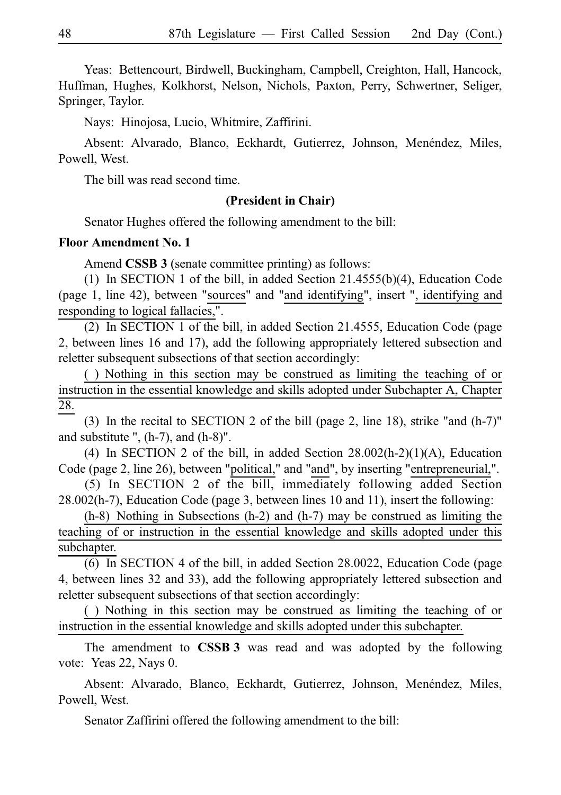Yeas: Bettencourt, Birdwell, Buckingham, Campbell, Creighton, Hall, Hancock, Huffman, Hughes, Kolkhorst, Nelson, Nichols, Paxton, Perry, Schwertner, Seliger, Springer, Taylor.

Nays: Hinojosa, Lucio, Whitmire, Zaffirini.

Absent: Alvarado, Blanco, Eckhardt, Gutierrez, Johnson, Menéndez, Miles, Powell, West.

The bill was read second time.

#### **(President in Chair)**

Senator Hughes offered the following amendment to the bill:

#### **Floor Amendment No. 1**

Amend **CSSB 3** (senate committee printing) as follows:

(1) In SECTION 1 of the bill, in added Section 21.4555(b)(4), Education Code (page 1, line 42), between "sources" and "and identifying", insert ", identifying and responding to logical fallacies,".

(2) In SECTION 1 of the bill, in added Section 21.4555, Education Code (page 2, between lines 16 and 17), add the following appropriately lettered subsection and reletter subsequent subsections of that section accordingly:

( ) Nothing in this section may be construed as limiting the teaching of or instruction in the essential knowledge and skills adopted under Subchapter A, Chapter 28.

(3) In the recital to SECTION 2 of the bill (page 2, line 18), strike "and  $(h-7)$ " and substitute ", (h-7), and (h-8)".

(4) In SECTION 2 of the bill, in added Section  $28.002(h-2)(1)(A)$ , Education Code (page 2, line 26), between "political," and "and", by inserting "entrepreneurial,".

(5) In SECTION 2 of the bill, immediately following added Section 28.002(h-7), Education Code (page 3, between lines 10 and 11), insert the following:

 $(h-8)$  Nothing in Subsections  $(h-2)$  and  $(h-7)$  may be construed as limiting the teaching of or instruction in the essential knowledge and skills adopted under this subchapter.

(6) In SECTION 4 of the bill, in added Section 28.0022, Education Code (page 4, between lines 32 and 33), add the following appropriately lettered subsection and reletter subsequent subsections of that section accordingly:

( ) Nothing in this section may be construed as limiting the teaching of or instruction in the essential knowledge and skills adopted under this subchapter.

The amendment to **CSSBi3** was read and was adopted by the following vote: Yeas 22, Nays 0.

Absent: Alvarado, Blanco, Eckhardt, Gutierrez, Johnson, Menéndez, Miles, Powell, West.

Senator Zaffirini offered the following amendment to the bill: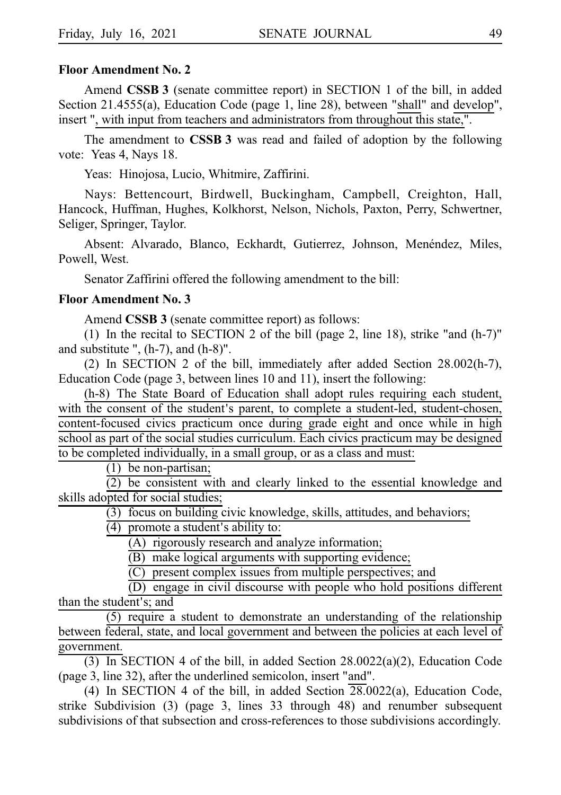#### **Floor Amendment No. 2**

Amend **CSSB 3** (senate committee report) in SECTION 1 of the bill, in added Section 21.4555(a), Education Code (page 1, line 28), between "shall" and develop", insert ", with input from teachers and administrators from throughout this state,".

The amendment to **CSSB 3** was read and failed of adoption by the following vote: Yeas 4, Nays 18.

Yeas: Hinojosa, Lucio, Whitmire, Zaffirini.

Nays: Bettencourt, Birdwell, Buckingham, Campbell, Creighton, Hall, Hancock, Huffman, Hughes, Kolkhorst, Nelson, Nichols, Paxton, Perry, Schwertner, Seliger, Springer, Taylor.

Absent: Alvarado, Blanco, Eckhardt, Gutierrez, Johnson, Menéndez, Miles, Powell, West.

Senator Zaffirini offered the following amendment to the bill:

#### **Floor Amendment No. 3**

Amend **CSSB 3** (senate committee report) as follows:

(1) In the recital to SECTION 2 of the bill (page 2, line 18), strike "and  $(h-7)$ " and substitute ", (h-7), and (h-8)".

(2) In SECTION 2 of the bill, immediately after added Section  $28.002(h-7)$ , Education Code (page 3, between lines 10 and 11), insert the following:

(h-8) The State Board of Education shall adopt rules requiring each student, with the consent of the student's parent, to complete a student-led, student-chosen, content-focused civics practicum once during grade eight and once while in high school as part of the social studies curriculum. Each civics practicum may be designed to be completed individually, in a small group, or as a class and must:

 $(1)$  be non-partisan;

 $(2)$  be consistent with and clearly linked to the essential knowledge and skills adopted for social studies;

(3) focus on building civic knowledge, skills, attitudes, and behaviors;

 $(4)$  promote a student's ability to:

 $(A)$  rigorously research and analyze information;

 $(B)$  make logical arguments with supporting evidence;

(C) present complex issues from multiple perspectives; and

 $(D)$  engage in civil discourse with people who hold positions different than the student's; and

 $(5)$  require a student to demonstrate an understanding of the relationship between federal, state, and local government and between the policies at each level of government.

(3) In SECTION 4 of the bill, in added Section  $28.0022(a)(2)$ , Education Code (page 3, line 32), after the underlined semicolon, insert "and".

(4) In SECTION 4 of the bill, in added Section  $\overline{28.0022(a)}$ , Education Code, strike Subdivision (3) (page 3, lines 33 through 48) and renumber subsequent subdivisions of that subsection and cross-references to those subdivisions accordingly.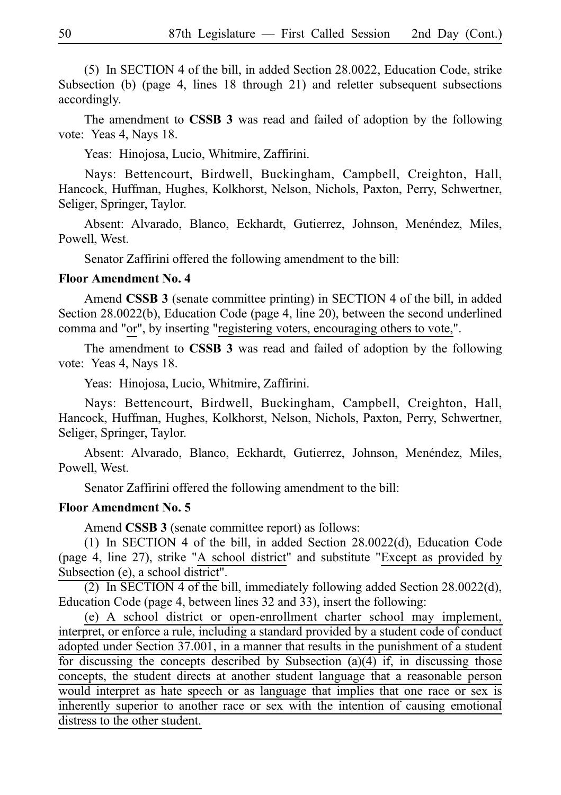$(5)$  In SECTION 4 of the bill, in added Section 28.0022, Education Code, strike Subsection (b) (page 4, lines 18 through 21) and reletter subsequent subsections accordingly.

The amendment to **CSSB 3** was read and failed of adoption by the following vote: Yeas 4, Nays 18.

Yeas: Hinojosa, Lucio, Whitmire, Zaffirini.

Nays: Bettencourt, Birdwell, Buckingham, Campbell, Creighton, Hall, Hancock, Huffman, Hughes, Kolkhorst, Nelson, Nichols, Paxton, Perry, Schwertner, Seliger, Springer, Taylor.

Absent: Alvarado, Blanco, Eckhardt, Gutierrez, Johnson, Menéndez, Miles, Powell, West.

Senator Zaffirini offered the following amendment to the bill:

#### **Floor Amendment No. 4**

Amend **CSSB 3** (senate committee printing) in SECTION 4 of the bill, in added Section 28.0022(b), Education Code (page 4, line 20), between the second underlined comma and "or", by inserting "registering voters, encouraging others to vote,".

The amendment to **CSSB 3** was read and failed of adoption by the following vote: Yeas 4, Nays 18.

Yeas: Hinojosa, Lucio, Whitmire, Zaffirini.

Nays: Bettencourt, Birdwell, Buckingham, Campbell, Creighton, Hall, Hancock, Huffman, Hughes, Kolkhorst, Nelson, Nichols, Paxton, Perry, Schwertner, Seliger, Springer, Taylor.

Absent: Alvarado, Blanco, Eckhardt, Gutierrez, Johnson, Menéndez, Miles, Powell, West.

Senator Zaffirini offered the following amendment to the bill:

#### **Floor Amendment No. 5**

Amend **CSSB 3** (senate committee report) as follows:

(1) In SECTION 4 of the bill, in added Section  $28.0022(d)$ , Education Code (page 4, line 27), strike "A school district" and substitute "Except as provided by Subsection (e), a school district".

(2) In SECTION 4 of the bill, immediately following added Section  $28.0022(d)$ , Education Code (page 4, between lines 32 and 33), insert the following:

(e) A school district or open-enrollment charter school may implement, interpret, or enforce a rule, including a standard provided by a student code of conduct adopted under Section 37.001, in a manner that results in the punishment of a student for discussing the concepts described by Subsection (a)(4) if, in discussing those concepts, the student directs at another student language that a reasonable person would interpret as hate speech or as language that implies that one race or sex is inherently superior to another race or sex with the intention of causing emotional distress to the other student.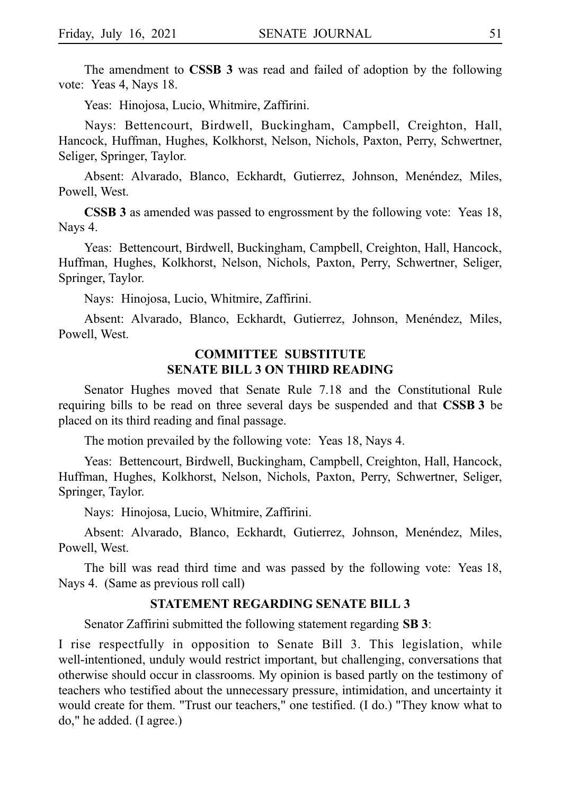The amendment to **CSSB 3** was read and failed of adoption by the following vote: Yeas 4, Nays 18.

Yeas: Hinojosa, Lucio, Whitmire, Zaffirini.

Nays: Bettencourt, Birdwell, Buckingham, Campbell, Creighton, Hall, Hancock, Huffman, Hughes, Kolkhorst, Nelson, Nichols, Paxton, Perry, Schwertner, Seliger, Springer, Taylor.

Absent: Alvarado, Blanco, Eckhardt, Gutierrez, Johnson, Menéndez, Miles, Powell, West.

**CSSB 3** as amended was passed to engrossment by the following vote: Yeas 18, Nays 4.

Yeas: Bettencourt, Birdwell, Buckingham, Campbell, Creighton, Hall, Hancock, Huffman, Hughes, Kolkhorst, Nelson, Nichols, Paxton, Perry, Schwertner, Seliger, Springer, Taylor.

Nays: Hinojosa, Lucio, Whitmire, Zaffirini.

Absent: Alvarado, Blanco, Eckhardt, Gutierrez, Johnson, Menéndez, Miles, Powell, West.

# **COMMITTEE SUBSTITUTE SENATE BILL 3 ON THIRD READING**

Senator Hughes moved that Senate Rule 7.18 and the Constitutional Rule requiring bills to be read on three several days be suspended and that **CSSB 3** be placed on its third reading and final passage.

The motion prevailed by the following vote: Yeas 18, Nays 4.

Yeas: Bettencourt, Birdwell, Buckingham, Campbell, Creighton, Hall, Hancock, Huffman, Hughes, Kolkhorst, Nelson, Nichols, Paxton, Perry, Schwertner, Seliger, Springer, Taylor.

Nays: Hinojosa, Lucio, Whitmire, Zaffirini.

Absent: Alvarado, Blanco, Eckhardt, Gutierrez, Johnson, Menéndez, Miles, Powell, West.

The bill was read third time and was passed by the following vote: Yeas 18, Nays 4. (Same as previous roll call)

#### **STATEMENT REGARDING SENATE BILL 3**

Senator Zaffirini submitted the following statement regarding **SB 3**:

I rise respectfully in opposition to Senate Bill 3. This legislation, while well-intentioned, unduly would restrict important, but challenging, conversations that otherwise should occur in classrooms. My opinion is based partly on the testimony of teachers who testified about the unnecessary pressure, intimidation, and uncertainty it would create for them. "Trust our teachers," one testified. (I do.) "They know what to do," he added. (I agree.)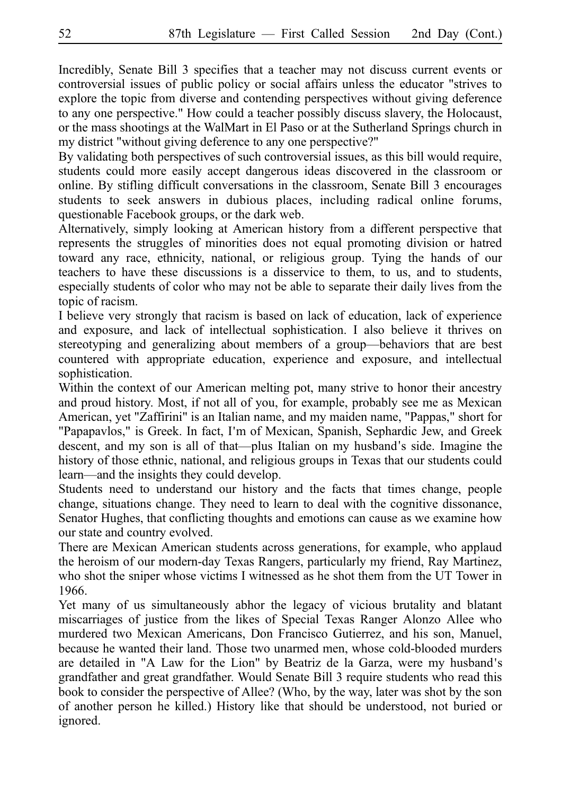Incredibly, Senate Bill 3 specifies that a teacher may not discuss current events or controversial issues of public policy or social affairs unless the educator "strives to explore the topic from diverse and contending perspectives without giving deference to any one perspective." How could a teacher possibly discuss slavery, the Holocaust, or the mass shootings at the WalMart in El Paso or at the Sutherland Springs church in my district "without giving deference to any one perspective?"

By validating both perspectives of such controversial issues, as this bill would require, students could more easily accept dangerous ideas discovered in the classroom or online. By stifling difficult conversations in the classroom, Senate Bill 3 encourages students to seek answers in dubious places, including radical online forums, questionable Facebook groups, or the dark web.

Alternatively, simply looking at American history from a different perspective that represents the struggles of minorities does not equal promoting division or hatred toward any race, ethnicity, national, or religious group. Tying the hands of our teachers to have these discussions is a disservice to them, to us, and to students, especially students of color who may not be able to separate their daily lives from the topic of racism.

I believe very strongly that racism is based on lack of education, lack of experience and exposure, and lack of intellectual sophistication. I also believe it thrives on stereotyping and generalizing about members of a group—behaviors that are best countered with appropriate education, experience and exposure, and intellectual sophistication.

Within the context of our American melting pot, many strive to honor their ancestry and proud history. Most, if not all of you, for example, probably see me as Mexican American, yet "Zaffirini" is an Italian name, and my maiden name, "Pappas," short for "Papapavlos," is Greek. In fact, I'm of Mexican, Spanish, Sephardic Jew, and Greek descent, and my son is all of that—plus Italian on my husband's side. Imagine the history of those ethnic, national, and religious groups in Texas that our students could learn—and the insights they could develop.

Students need to understand our history and the facts that times change, people change, situations change. They need to learn to deal with the cognitive dissonance, Senator Hughes, that conflicting thoughts and emotions can cause as we examine how our state and country evolved.

There are Mexican American students across generations, for example, who applaud the heroism of our modern-day Texas Rangers, particularly my friend, Ray Martinez, who shot the sniper whose victims I witnessed as he shot them from the UT Tower in 1966.

Yet many of us simultaneously abhor the legacy of vicious brutality and blatant miscarriages of justice from the likes of Special Texas Ranger Alonzo Allee who murdered two Mexican Americans, Don Francisco Gutierrez, and his son, Manuel, because he wanted their land. Those two unarmed men, whose cold-blooded murders are detailed in "A Law for the Lion" by Beatriz de la Garza, were my husband s' grandfather and great grandfather. Would Senate Bill 3 require students who read this book to consider the perspective of Allee? (Who, by the way, later was shot by the son of another person he killed.) History like that should be understood, not buried or ignored.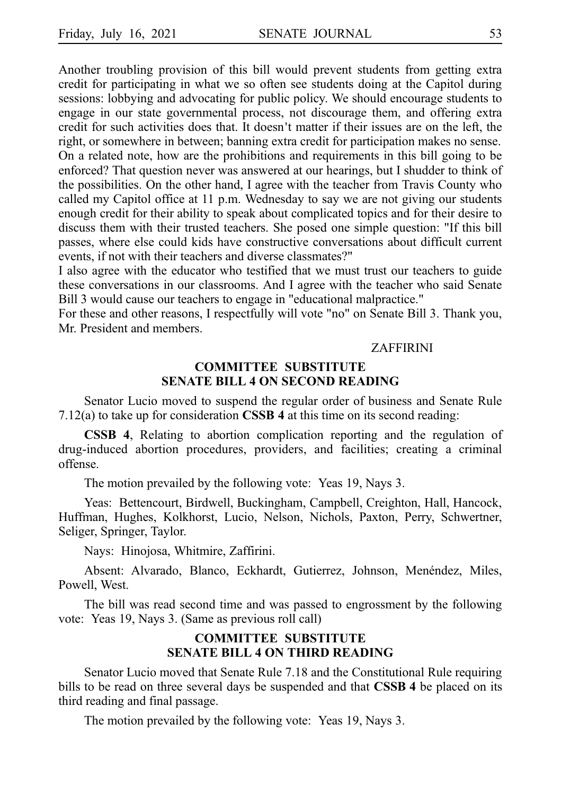Another troubling provision of this bill would prevent students from getting extra credit for participating in what we so often see students doing at the Capitol during sessions: lobbying and advocating for public policy. We should encourage students to engage in our state governmental process, not discourage them, and offering extra credit for such activities does that. It doesn't matter if their issues are on the left, the right, or somewhere in between; banning extra credit for participation makes no sense. On a related note, how are the prohibitions and requirements in this bill going to be enforced? That question never was answered at our hearings, but I shudder to think of the possibilities. On the other hand, I agree with the teacher from Travis County who called my Capitol office at 11 p.m. Wednesday to say we are not giving our students enough credit for their ability to speak about complicated topics and for their desire to discuss them with their trusted teachers. She posed one simple question: "If this bill passes, where else could kids have constructive conversations about difficult current events, if not with their teachers and diverse classmates?"

I also agree with the educator who testified that we must trust our teachers to guide these conversations in our classrooms. And I agree with the teacher who said Senate Bill 3 would cause our teachers to engage in "educational malpractice."

For these and other reasons, I respectfully will vote "no" on Senate Bill 3. Thank you, Mr. President and members.

#### ZAFFIRINI

# **COMMITTEE SUBSTITUTE SENATE BILL 4 ON SECOND READING**

Senator Lucio moved to suspend the regular order of business and Senate Rule 7.12(a) to take up for consideration  $\mathbf{CSSB4}$  at this time on its second reading:

**CSSB 4**, Relating to abortion complication reporting and the regulation of drug-induced abortion procedures, providers, and facilities; creating a criminal offense.

The motion prevailed by the following vote: Yeas 19, Nays 3.

Yeas: Bettencourt, Birdwell, Buckingham, Campbell, Creighton, Hall, Hancock, Huffman, Hughes, Kolkhorst, Lucio, Nelson, Nichols, Paxton, Perry, Schwertner, Seliger, Springer, Taylor.

Nays: Hinojosa, Whitmire, Zaffirini.

Absent: Alvarado, Blanco, Eckhardt, Gutierrez, Johnson, Menéndez, Miles, Powell, West.

The bill was read second time and was passed to engrossment by the following vote: Yeas 19, Nays 3. (Same as previous roll call)

### **COMMITTEE SUBSTITUTE SENATE BILL 4 ON THIRD READING**

Senator Lucio moved that Senate Rule 7.18 and the Constitutional Rule requiring bills to be read on three several days be suspended and that **CSSB 4** be placed on its third reading and final passage.

The motion prevailed by the following vote: Yeas 19, Nays 3.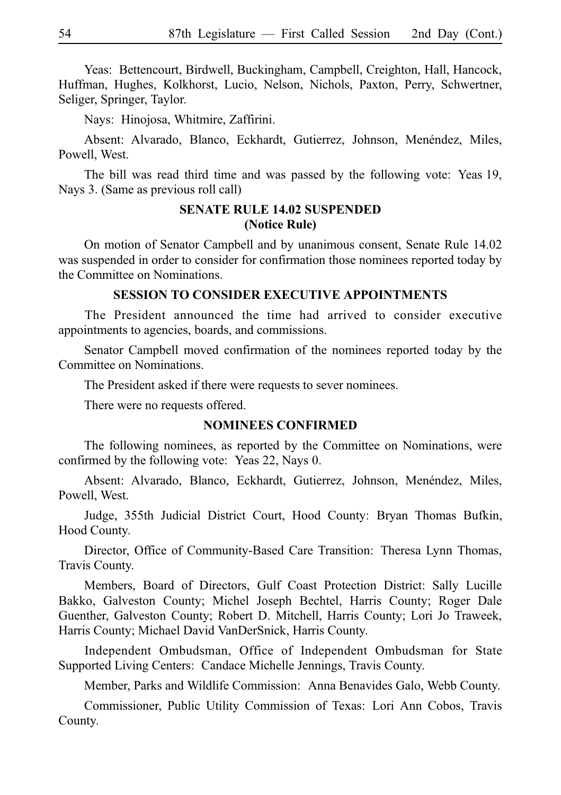Yeas: Bettencourt, Birdwell, Buckingham, Campbell, Creighton, Hall, Hancock, Huffman, Hughes, Kolkhorst, Lucio, Nelson, Nichols, Paxton, Perry, Schwertner, Seliger, Springer, Taylor.

Nays: Hinojosa, Whitmire, Zaffirini.

Absent: Alvarado, Blanco, Eckhardt, Gutierrez, Johnson, Menéndez, Miles, Powell, West.

The bill was read third time and was passed by the following vote: Yeas 19, Nays 3. (Same as previous roll call)

# **SENATE RULE 14.02 SUSPENDED (Notice Rule)**

On motion of Senator Campbell and by unanimous consent, Senate Rule 14.02 was suspended in order to consider for confirmation those nominees reported today by the Committee on Nominations.

#### **SESSION TO CONSIDER EXECUTIVE APPOINTMENTS**

The President announced the time had arrived to consider executive appointments to agencies, boards, and commissions.

Senator Campbell moved confirmation of the nominees reported today by the Committee on Nominations.

The President asked if there were requests to sever nominees.

There were no requests offered.

#### **NOMINEES CONFIRMED**

The following nominees, as reported by the Committee on Nominations, were confirmed by the following vote: Yeas 22, Nays 0.

Absent: Alvarado, Blanco, Eckhardt, Gutierrez, Johnson, Menéndez, Miles, Powell, West.

Judge, 355th Judicial District Court, Hood County: Bryan Thomas Bufkin, Hood County.

Director, Office of Community-Based Care Transition: Theresa Lynn Thomas, Travis County.

Members, Board of Directors, Gulf Coast Protection District: Sally Lucille Bakko, Galveston County; Michel Joseph Bechtel, Harris County; Roger Dale Guenther, Galveston County; Robert D. Mitchell, Harris County; Lori Jo Traweek, Harris County; Michael David VanDerSnick, Harris County.

Independent Ombudsman, Office of Independent Ombudsman for State Supported Living Centers: Candace Michelle Jennings, Travis County.

Member, Parks and Wildlife Commission: Anna Benavides Galo, Webb County.

Commissioner, Public Utility Commission of Texas: Lori Ann Cobos, Travis County.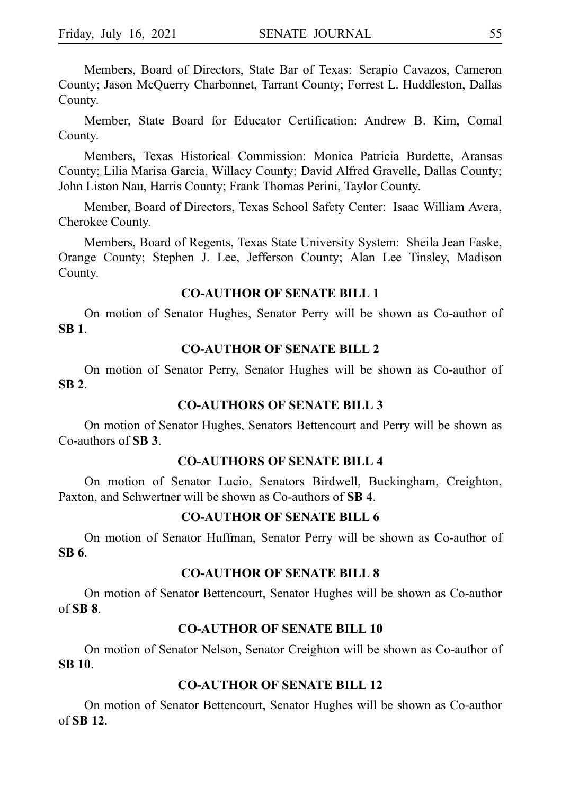Members, Board of Directors, State Bar of Texas: Serapio Cavazos, Cameron County; Jason McQuerry Charbonnet, Tarrant County; Forrest L. Huddleston, Dallas County.

Member, State Board for Educator Certification: Andrew B. Kim, Comal County.

Members, Texas Historical Commission: Monica Patricia Burdette, Aransas County; Lilia Marisa Garcia, Willacy County; David Alfred Gravelle, Dallas County; John Liston Nau, Harris County; Frank Thomas Perini, Taylor County.

Member, Board of Directors, Texas School Safety Center: Isaac William Avera, Cherokee County.

Members, Board of Regents, Texas State University System: Sheila Jean Faske, Orange County; Stephen J. Lee, Jefferson County; Alan Lee Tinsley, Madison County.

## **CO-AUTHOR OF SENATE BILL 1**

On motion of Senator Hughes, Senator Perry will be shown as Co-author of **SBi1**.

# **CO-AUTHOR OF SENATE BILL 2**

On motion of Senator Perry, Senator Hughes will be shown as Co-author of **SBi2**.

#### **CO-AUTHORS OF SENATE BILL 3**

On motion of Senator Hughes, Senators Bettencourt and Perry will be shown as Co-authors of **SBi3**.

## **CO-AUTHORS OF SENATE BILL 4**

On motion of Senator Lucio, Senators Birdwell, Buckingham, Creighton, Paxton, and Schwertner will be shown as Co-authors of **SB 4**.

# **CO-AUTHOR OF SENATE BILL 6**

On motion of Senator Huffman, Senator Perry will be shown as Co-author of **SBi6**.

# **CO-AUTHOR OF SENATE BILL 8**

On motion of Senator Bettencourt, Senator Hughes will be shown as Co-author of **SBi8**.

# **CO-AUTHOR OF SENATE BILL 10**

On motion of Senator Nelson, Senator Creighton will be shown as Co-author of **SBi10**.

# **CO-AUTHOR OF SENATE BILL 12**

On motion of Senator Bettencourt, Senator Hughes will be shown as Co-author of **SBi12**.